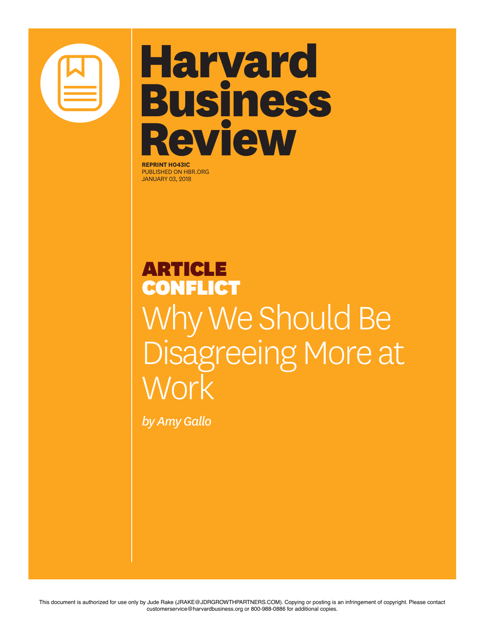

## **Harvard Business Review**

**REPRINT H043IC** PUBLISHED ON HBR.ORG JANUARY 03, 2018

## ARTICLE CONFLICT Why We Should Be Disagreeing More at Work

*by Amy Gallo*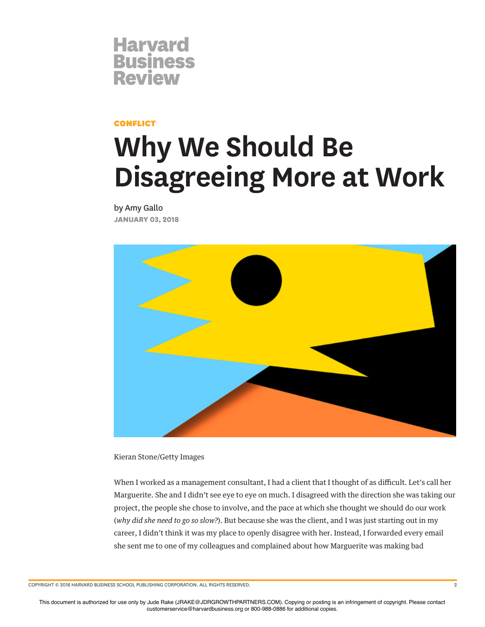

CONFLICT

## **Why We Should Be Disagreeing More at Work**

by Amy Gallo **JANUARY 03, 2018**



Kieran Stone/Getty Images

When I worked as a management consultant, I had a client that I thought of as difficult. Let's call her Marguerite. She and I didn't see eye to eye on much. I disagreed with the direction she was taking our project, the people she chose to involve, and the pace at which she thought we should do our work (*why did she need to go so slow?*). But because she was the client, and I was just starting out in my career, I didn't think it was my place to openly disagree with her. Instead, I forwarded every email she sent me to one of my colleagues and complained about how Marguerite was making bad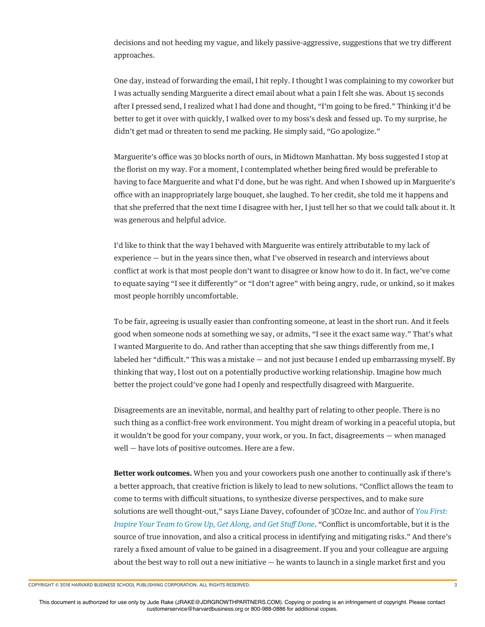decisions and not heeding my vague, and likely passive-aggressive, suggestions that we try diferent approaches.

One day, instead of forwarding the email, I hit reply. I thought I was complaining to my coworker but I was actually sending Marguerite a direct email about what a pain I felt she was. About 15 seconds after I pressed send, I realized what I had done and thought, "I'm going to be fred." Thinking it'd be better to get it over with quickly, I walked over to my boss's desk and fessed up. To my surprise, he didn't get mad or threaten to send me packing. He simply said, "Go apologize."

Marguerite's office was 30 blocks north of ours, in Midtown Manhattan. My boss suggested I stop at the forist on my way. For a moment, I contemplated whether being fred would be preferable to having to face Marguerite and what I'd done, but he was right. And when I showed up in Marguerite's office with an inappropriately large bouquet, she laughed. To her credit, she told me it happens and that she preferred that the next time I disagree with her, I just tell her so that we could talk about it. It was generous and helpful advice.

I'd like to think that the way I behaved with Marguerite was entirely attributable to my lack of experience — but in the years since then, what I've observed in research and interviews about confict at work is that most people don't want to disagree or know how to do it. In fact, we've come to equate saying "I see it diferently" or "I don't agree" with being angry, rude, or unkind, so it makes most people horribly uncomfortable.

To be fair, agreeing is usually easier than confronting someone, at least in the short run. And it feels good when someone nods at something we say, or admits, "I see it the exact same way." That's what I wanted Marguerite to do. And rather than accepting that she saw things diferently from me, I labeled her "difficult." This was a mistake — and not just because I ended up embarrassing myself. By thinking that way, I lost out on a potentially productive working relationship. Imagine how much better the project could've gone had I openly and respectfully disagreed with Marguerite.

Disagreements are an inevitable, normal, and healthy part of relating to other people. There is no such thing as a confict-free work environment. You might dream of working in a peaceful utopia, but it wouldn't be good for your company, your work, or you. In fact, disagreements — when managed well — have lots of positive outcomes. Here are a few.

**Better work outcomes.** When you and your coworkers push one another to continually ask if there's a better approach, that creative friction is likely to lead to new solutions. "Confict allows the team to come to terms with difcult situations, to synthesize diverse perspectives, and to make sure solutions are well thought-out," says Liane Davey, cofounder of 3COze Inc. and author of *You First: Inspire Your Team to Grow Up, Get Along, and Get Stu*f *Done*. "Confict is uncomfortable, but it is the source of true innovation, and also a critical process in identifying and mitigating risks." And there's rarely a fxed amount of value to be gained in a disagreement. If you and your colleague are arguing about the best way to roll out a new initiative  $-$  he wants to launch in a single market first and you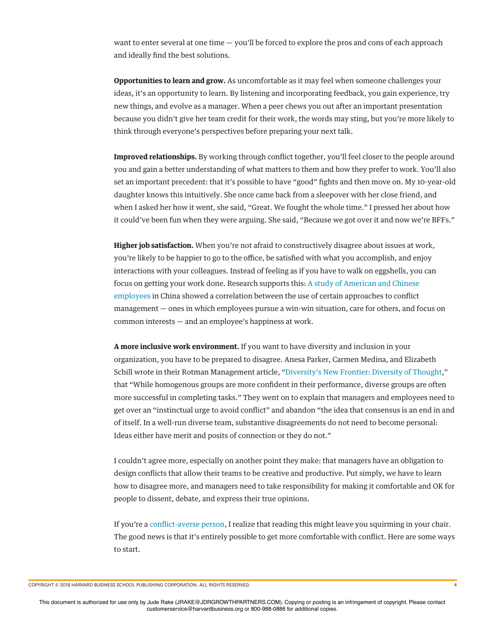want to enter several at one time  $-$  you'll be forced to explore the pros and cons of each approach and ideally fnd the best solutions.

**Opportunities to learn and grow.** As uncomfortable as it may feel when someone challenges your ideas, it's an opportunity to learn. By listening and incorporating feedback, you gain experience, try new things, and evolve as a manager. When a peer chews you out after an important presentation because you didn't give her team credit for their work, the words may sting, but you're more likely to think through everyone's perspectives before preparing your next talk.

**Improved relationships.** By working through confict together, you'll feel closer to the people around you and gain a better understanding of what matters to them and how they prefer to work. You'll also set an important precedent: that it's possible to have "good" fghts and then move on. My 10-year-old daughter knows this intuitively. She once came back from a sleepover with her close friend, and when I asked her how it went, she said, "Great. We fought the whole time." I pressed her about how it could've been fun when they were arguing. She said, "Because we got over it and now we're BFFs."

**Higher job satisfaction.** When you're not afraid to constructively disagree about issues at work, you're likely to be happier to go to the office, be satisfied with what you accomplish, and enjoy interactions with your colleagues. Instead of feeling as if you have to walk on eggshells, you can focus on getting your work done. Research supports this: A study of American and Chinese employees in China showed a correlation between the use of certain approaches to confict management — ones in which employees pursue a win-win situation, care for others, and focus on common interests — and an employee's happiness at work.

**A more inclusive work environment.** If you want to have diversity and inclusion in your organization, you have to be prepared to disagree. Anesa Parker, Carmen Medina, and Elizabeth Schill wrote in their Rotman Management article, "Diversity's New Frontier: Diversity of Thought," that "While homogenous groups are more confdent in their performance, diverse groups are often more successful in completing tasks." They went on to explain that managers and employees need to get over an "instinctual urge to avoid confict" and abandon "the idea that consensus is an end in and of itself. In a well-run diverse team, substantive disagreements do not need to become personal: Ideas either have merit and posits of connection or they do not."

I couldn't agree more, especially on another point they make: that managers have an obligation to design conficts that allow their teams to be creative and productive. Put simply, we have to learn how to disagree more, and managers need to take responsibility for making it comfortable and OK for people to dissent, debate, and express their true opinions.

If you're a confict-averse person, I realize that reading this might leave you squirming in your chair. The good news is that it's entirely possible to get more comfortable with confict. Here are some ways to start.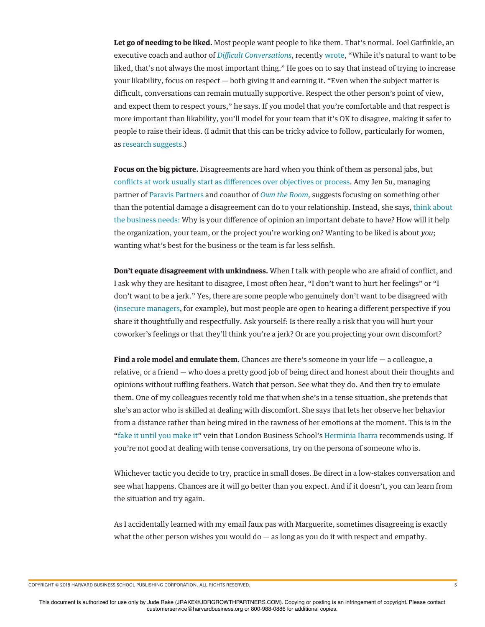**Let go of needing to be liked.** Most people want people to like them. That's normal. Joel Garfnkle, an executive coach and author of *Di*f*cult Conversations*, recently wrote, "While it's natural to want to be liked, that's not always the most important thing." He goes on to say that instead of trying to increase your likability, focus on respect — both giving it and earning it. "Even when the subject matter is difficult, conversations can remain mutually supportive. Respect the other person's point of view, and expect them to respect yours," he says. If you model that you're comfortable and that respect is more important than likability, you'll model for your team that it's OK to disagree, making it safer to people to raise their ideas. (I admit that this can be tricky advice to follow, particularly for women, as research suggests.)

**Focus on the big picture.** Disagreements are hard when you think of them as personal jabs, but conficts at work usually start as diferences over objectives or process. Amy Jen Su, managing partner of Paravis Partners and coauthor of *Own the Room,* suggests focusing on something other than the potential damage a disagreement can do to your relationship. Instead, she says, think about the business needs: Why is your diference of opinion an important debate to have? How will it help the organization, your team, or the project you're working on? Wanting to be liked is about *you*; wanting what's best for the business or the team is far less selfsh.

**Don't equate disagreement with unkindness.** When I talk with people who are afraid of confict, and I ask why they are hesitant to disagree, I most often hear, "I don't want to hurt her feelings" or "I don't want to be a jerk." Yes, there are some people who genuinely don't want to be disagreed with (insecure managers, for example), but most people are open to hearing a diferent perspective if you share it thoughtfully and respectfully. Ask yourself: Is there really a risk that you will hurt your coworker's feelings or that they'll think you're a jerk? Or are you projecting your own discomfort?

**Find a role model and emulate them.** Chances are there's someone in your life — a colleague, a relative, or a friend — who does a pretty good job of being direct and honest about their thoughts and opinions without rufing feathers. Watch that person. See what they do. And then try to emulate them. One of my colleagues recently told me that when she's in a tense situation, she pretends that she's an actor who is skilled at dealing with discomfort. She says that lets her observe her behavior from a distance rather than being mired in the rawness of her emotions at the moment. This is in the "fake it until you make it" vein that London Business School's Herminia Ibarra recommends using. If you're not good at dealing with tense conversations, try on the persona of someone who is.

Whichever tactic you decide to try, practice in small doses. Be direct in a low-stakes conversation and see what happens. Chances are it will go better than you expect. And if it doesn't, you can learn from the situation and try again.

As I accidentally learned with my email faux pas with Marguerite, sometimes disagreeing is exactly what the other person wishes you would  $d\sigma$  — as long as you do it with respect and empathy.